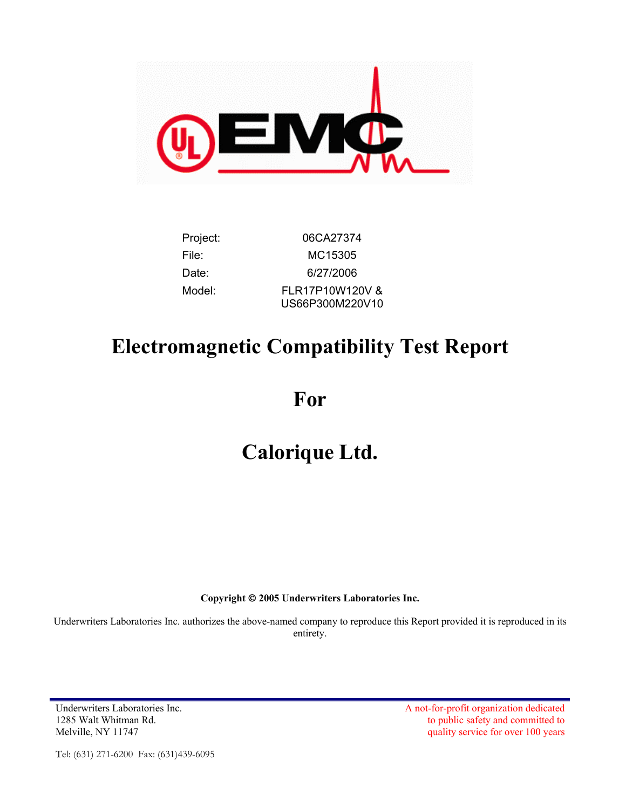

| Project: | 06CA27374                          |
|----------|------------------------------------|
| File:    | MC15305                            |
| Date:    | 6/27/2006                          |
| Model:   | FLR17P10W120V &<br>US66P300M220V10 |

# **Electromagnetic Compatibility Test Report**

**For** 

# **Calorique Ltd.**

**Copyright 2005 Underwriters Laboratories Inc.** 

Underwriters Laboratories Inc. authorizes the above-named company to reproduce this Report provided it is reproduced in its entirety.

1285 Walt Whitman Rd. Melville, NY 11747

Underwriters Laboratories Inc. A not-for-profit organization dedicated to public safety and committed to quality service for over 100 years

Tel: (631) 271-6200 Fax: (631)439-6095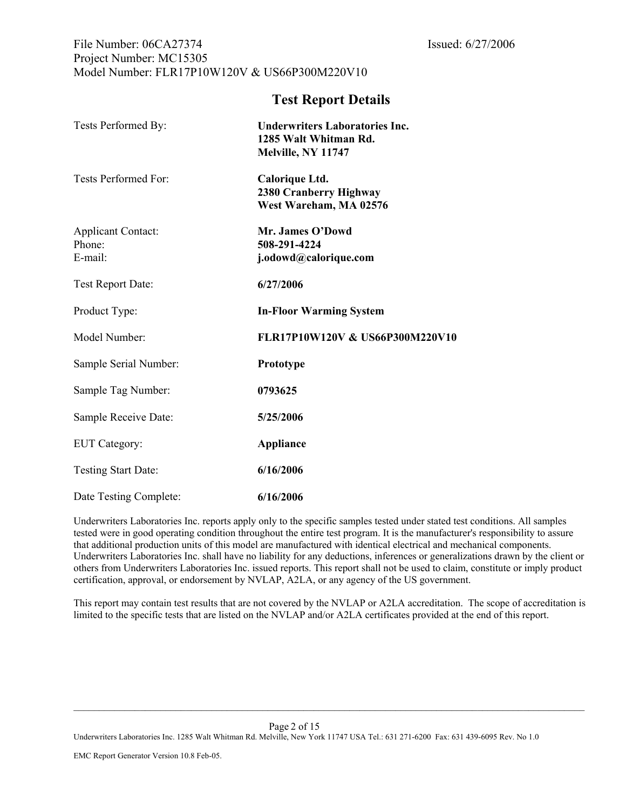#### File Number: 06CA27374 Issued: 6/27/2006 Project Number: MC15305 Model Number: FLR17P10W120V & US66P300M220V10

### **Test Report Details**

| Tests Performed By:                            | <b>Underwriters Laboratories Inc.</b><br>1285 Walt Whitman Rd.<br>Melville, NY 11747 |
|------------------------------------------------|--------------------------------------------------------------------------------------|
| Tests Performed For:                           | Calorique Ltd.<br>2380 Cranberry Highway<br>West Wareham, MA 02576                   |
| <b>Applicant Contact:</b><br>Phone:<br>E-mail: | Mr. James O'Dowd<br>508-291-4224<br>j.odowd@calorique.com                            |
| Test Report Date:                              | 6/27/2006                                                                            |
| Product Type:                                  | <b>In-Floor Warming System</b>                                                       |
| Model Number:                                  | FLR17P10W120V & US66P300M220V10                                                      |
| Sample Serial Number:                          | Prototype                                                                            |
| Sample Tag Number:                             | 0793625                                                                              |
| Sample Receive Date:                           | 5/25/2006                                                                            |
| EUT Category:                                  | <b>Appliance</b>                                                                     |
| <b>Testing Start Date:</b>                     | 6/16/2006                                                                            |
| Date Testing Complete:                         | 6/16/2006                                                                            |

Underwriters Laboratories Inc. reports apply only to the specific samples tested under stated test conditions. All samples tested were in good operating condition throughout the entire test program. It is the manufacturer's responsibility to assure that additional production units of this model are manufactured with identical electrical and mechanical components. Underwriters Laboratories Inc. shall have no liability for any deductions, inferences or generalizations drawn by the client or others from Underwriters Laboratories Inc. issued reports. This report shall not be used to claim, constitute or imply product certification, approval, or endorsement by NVLAP, A2LA, or any agency of the US government.

This report may contain test results that are not covered by the NVLAP or A2LA accreditation. The scope of accreditation is limited to the specific tests that are listed on the NVLAP and/or A2LA certificates provided at the end of this report.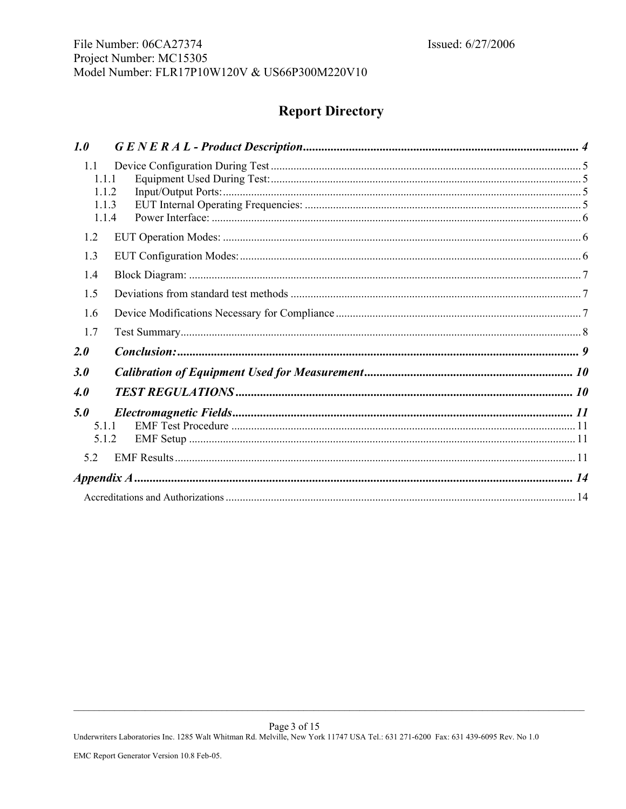# **Report Directory**

| 1.0                   |                |  |
|-----------------------|----------------|--|
| 1.1<br>1.1.1<br>1.1.3 | 1.1.2          |  |
|                       | 1.1.4          |  |
| 1.2                   |                |  |
| 1.3                   |                |  |
| 1.4                   |                |  |
| 1.5                   |                |  |
| 1.6                   |                |  |
| 1.7                   |                |  |
| 2.0                   |                |  |
| 3.0                   |                |  |
| 4.0                   |                |  |
| 5.0                   | 5.1.1<br>5.1.2 |  |
| 52                    |                |  |
|                       |                |  |
|                       |                |  |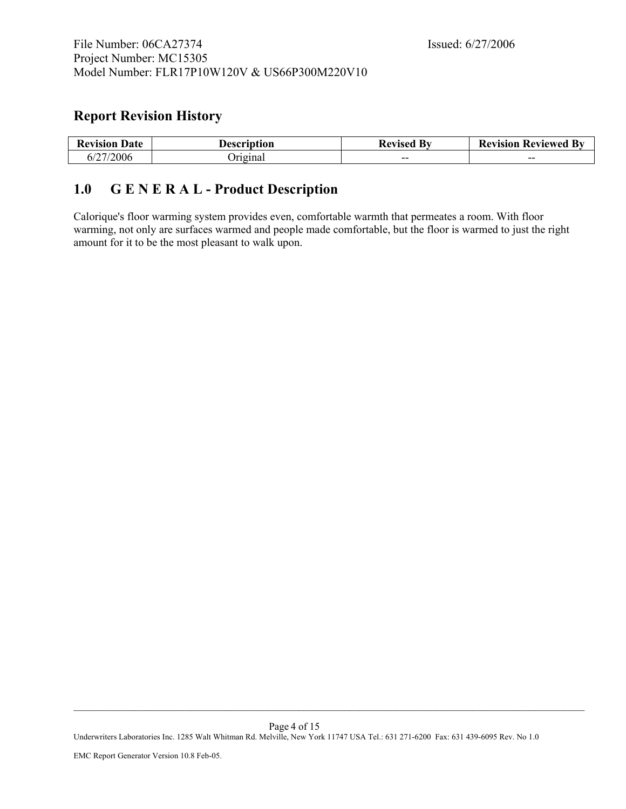# <span id="page-3-0"></span>**Report Revision History**

| <b>Revision Date</b> | Description | $\mathbf{B}$ v<br><b>Revised</b> | <b>Revision Reviewed By</b> |
|----------------------|-------------|----------------------------------|-----------------------------|
| 6/27/2006            | `riginal    | $- -$                            | $- -$                       |

# <span id="page-3-1"></span>**1.0 G E N E R A L - Product Description**

Calorique's floor warming system provides even, comfortable warmth that permeates a room. With floor warming, not only are surfaces warmed and people made comfortable, but the floor is warmed to just the right amount for it to be the most pleasant to walk upon.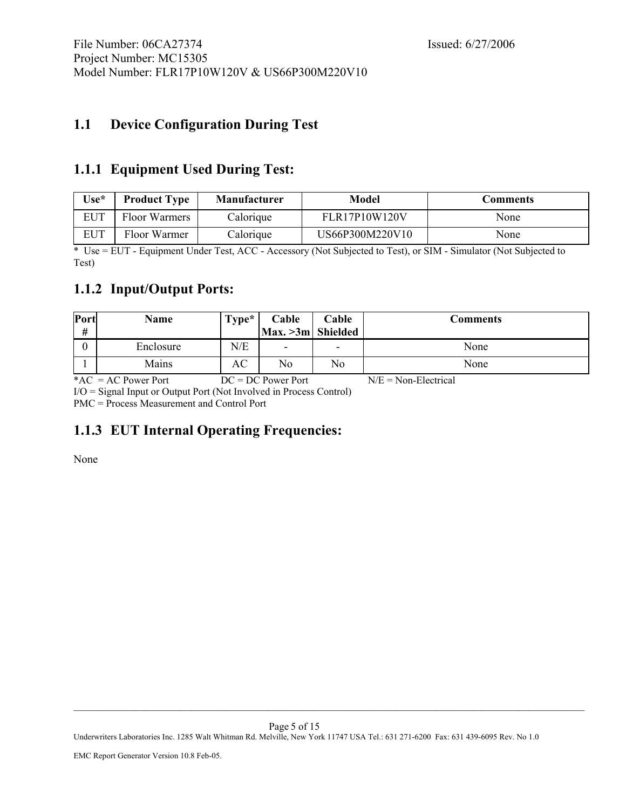# <span id="page-4-0"></span>**1.1 Device Configuration During Test**

### **1.1.1 Equipment Used During Test:**

| $Use^*$    | <b>Product Type</b> | <b>Manufacturer</b> | Model           | Comments |
|------------|---------------------|---------------------|-----------------|----------|
| <b>EUT</b> | Floor Warmers       | Calorique           | FLR17P10W120V   | None     |
| EUT        | Floor Warmer        | Calorique           | US66P300M220V10 | None     |

\* Use = EUT - Equipment Under Test, ACC - Accessory (Not Subjected to Test), or SIM - Simulator (Not Subjected to Test)

# **1.1.2 Input/Output Ports:**

| Port<br># | Name      | $Type*$ | Cable<br>$\left  \text{Max.} > 3m \right $ Shielded | Cable | Comments |
|-----------|-----------|---------|-----------------------------------------------------|-------|----------|
|           | Enclosure | N/E     | $\overline{\phantom{0}}$                            | ٠     | None     |
|           | Mains     | AC      | No                                                  | No    | None     |

\*AC = AC Power Port  $DC = DC$  Power Port  $N/E = Non-Electrical$ I/O = Signal Input or Output Port (Not Involved in Process Control)

PMC = Process Measurement and Control Port

# **1.1.3 EUT Internal Operating Frequencies:**

None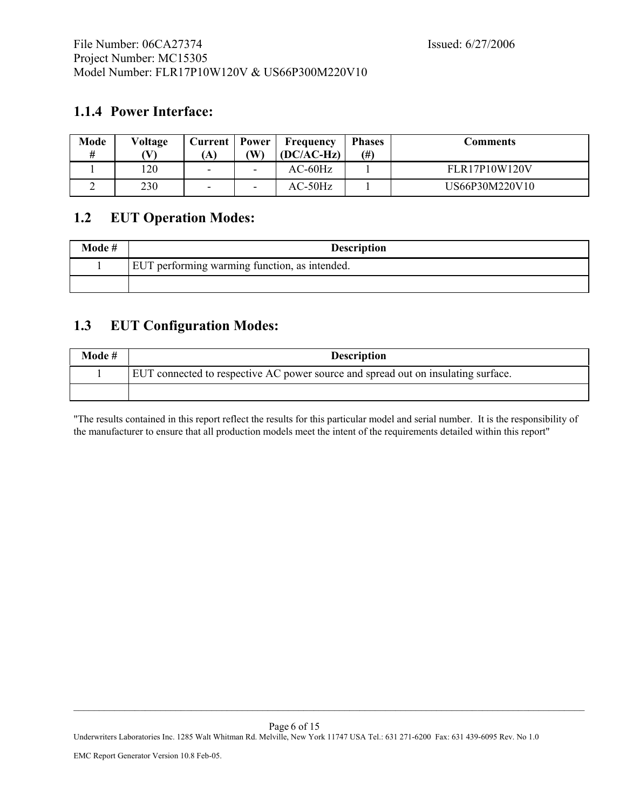# <span id="page-5-0"></span>**1.1.4 Power Interface:**

| Mode | Voltage | Current<br>A) | Power<br>W               | Frequency<br>$(DC/AC-Hz)$ | <b>Phases</b><br>(# ) | Comments             |
|------|---------|---------------|--------------------------|---------------------------|-----------------------|----------------------|
|      | 20      | -             | $\overline{\phantom{0}}$ | AC-60Hz                   |                       | <b>FLR17P10W120V</b> |
|      | 230     | -             | $\overline{\phantom{0}}$ | AC-50Hz                   |                       | US66P30M220V10       |

## **1.2 EUT Operation Modes:**

| Mode # | <b>Description</b>                            |
|--------|-----------------------------------------------|
|        | EUT performing warming function, as intended. |
|        |                                               |

# **1.3 EUT Configuration Modes:**

| Mode # | <b>Description</b>                                                                |
|--------|-----------------------------------------------------------------------------------|
|        | EUT connected to respective AC power source and spread out on insulating surface. |
|        |                                                                                   |

"The results contained in this report reflect the results for this particular model and serial number. It is the responsibility of the manufacturer to ensure that all production models meet the intent of the requirements detailed within this report"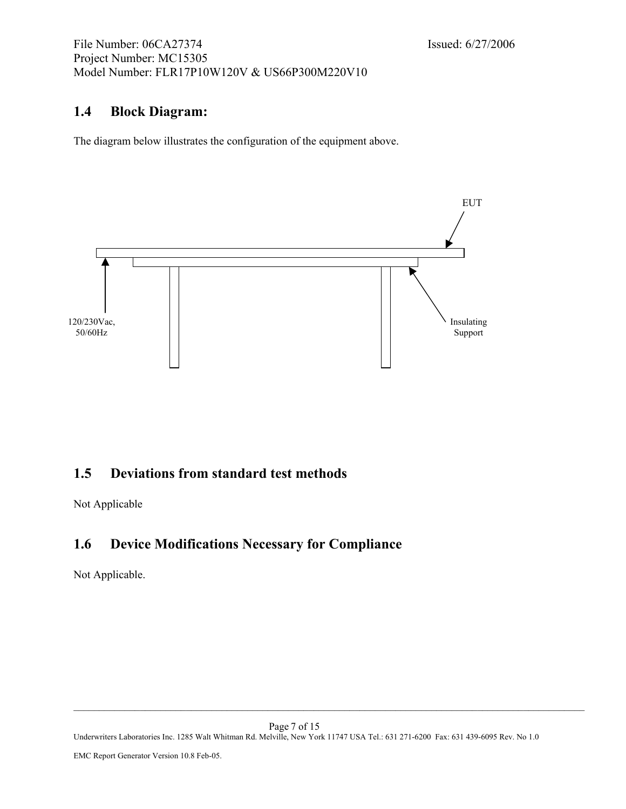## <span id="page-6-0"></span>**1.4 Block Diagram:**

The diagram below illustrates the configuration of the equipment above.



## **1.5 Deviations from standard test methods**

Not Applicable

# **1.6 Device Modifications Necessary for Compliance**

Not Applicable.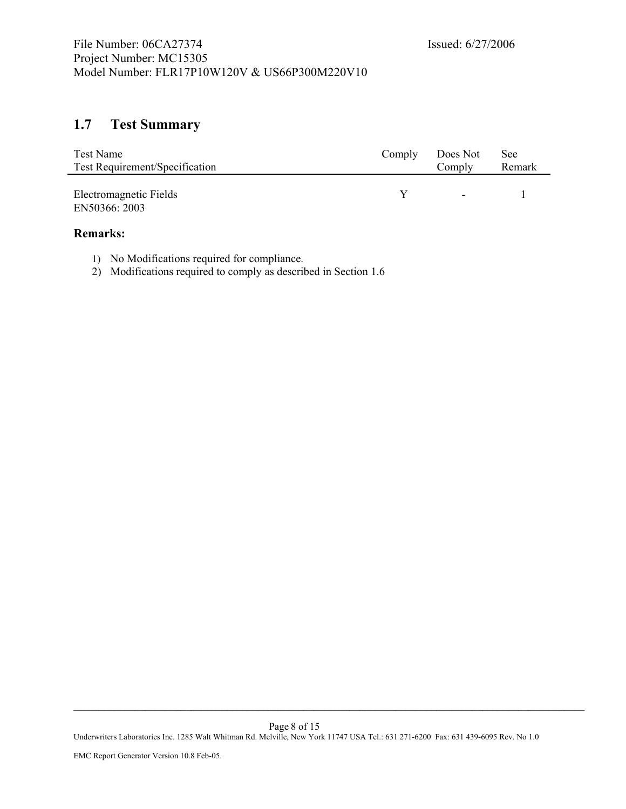# <span id="page-7-0"></span>**1.7 Test Summary**

| Test Name                             | Comply | Does Not | <b>See</b> |
|---------------------------------------|--------|----------|------------|
| <b>Test Requirement/Specification</b> |        | Comply   | Remark     |
|                                       |        |          |            |
| Electromagnetic Fields                |        | $\sim$   |            |
| EN50366: 2003                         |        |          |            |

#### **Remarks:**

Ĭ.

- 1) No Modifications required for compliance.
- 2) Modifications required to comply as described in Section 1.6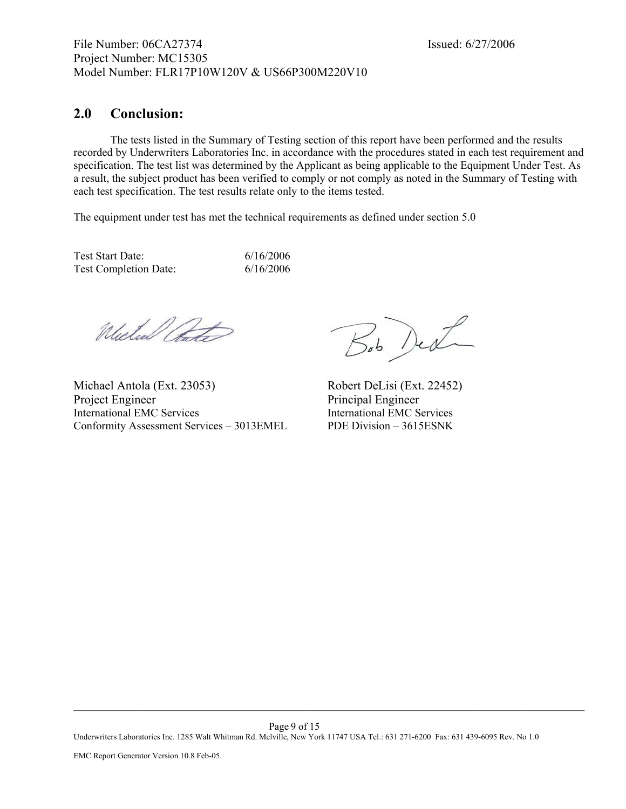#### <span id="page-8-0"></span>**2.0 Conclusion:**

The tests listed in the Summary of Testing section of this report have been performed and the results recorded by Underwriters Laboratories Inc. in accordance with the procedures stated in each test requirement and specification. The test list was determined by the Applicant as being applicable to the Equipment Under Test. As a result, the subject product has been verified to comply or not comply as noted in the Summary of Testing with each test specification. The test results relate only to the items tested.

The equipment under test has met the technical requirements as defined under section 5.0

Test Start Date: 6/16/2006 Test Completion Date: 6/16/2006

Mulul Pot

Michael Antola (Ext. 23053) Robert DeLisi (Ext. 22452) Project Engineer Principal Engineer International EMC Services International EMC Services Conformity Assessment Services – 3013EMEL PDE Division – 3615ESNK

Bob Ded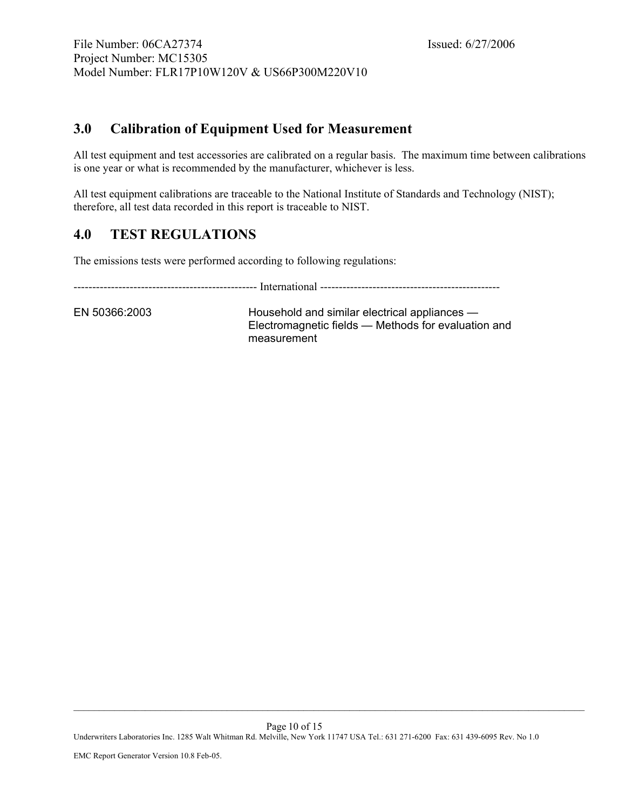# <span id="page-9-0"></span>**3.0 Calibration of Equipment Used for Measurement**

All test equipment and test accessories are calibrated on a regular basis. The maximum time between calibrations is one year or what is recommended by the manufacturer, whichever is less.

All test equipment calibrations are traceable to the National Institute of Standards and Technology (NIST); therefore, all test data recorded in this report is traceable to NIST.

# **4.0 [TE](#page-14-0)ST REGULATIONS**

The emissions tests were performed according to following regulations:

------------------------------------------------- International ------------------------------------------------

EN 50366:2003 Household and similar electrical appliances — Electromagnetic fields — Methods for evaluation and measurement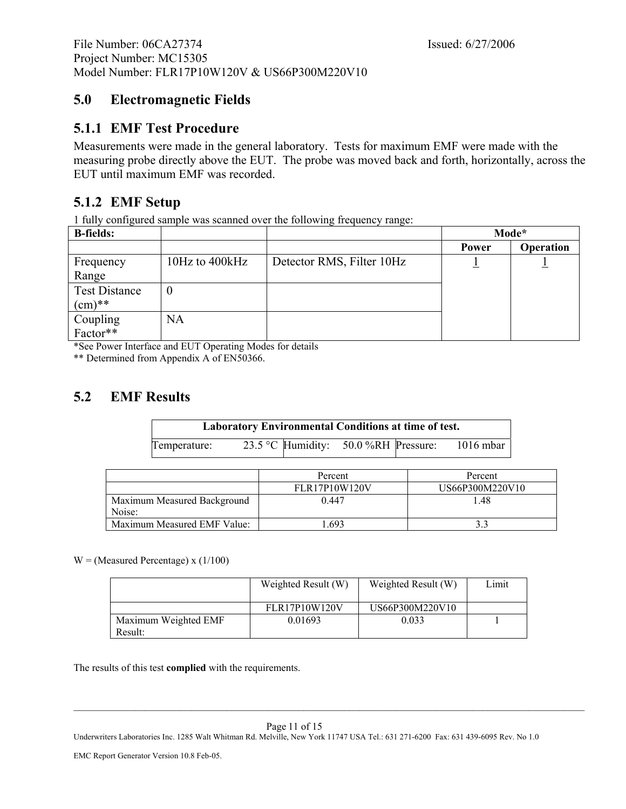# <span id="page-10-0"></span>**5.0 Electromagnetic Fields**

# **5.1.1 EMF Test Procedure**

Measurements were made in the general laboratory. Tests for maximum EMF were made with the measuring probe directly above the EUT. The probe was moved back and forth, horizontally, across the EUT until maximum EMF was recorded.

# **5.1.2 EMF Setup**

1 fully configured sample was scanned over the following frequency range:

| <b>B-fields:</b>     |                    |                           | Mode* |           |
|----------------------|--------------------|---------------------------|-------|-----------|
|                      |                    |                           | Power | Operation |
| Frequency            | $10Hz$ to $400kHz$ | Detector RMS, Filter 10Hz |       |           |
| Range                |                    |                           |       |           |
| <b>Test Distance</b> | $\boldsymbol{0}$   |                           |       |           |
| $(cm)**$             |                    |                           |       |           |
| Coupling<br>Factor** | NA                 |                           |       |           |
|                      |                    |                           |       |           |

\*See Power Interface and EUT Operating Modes for details

\*\* Determined from Appendix A of EN50366.

# **5.2 EMF Results**

| <b>Laboratory Environmental Conditions at time of test.</b> |  |  |                                      |  |           |
|-------------------------------------------------------------|--|--|--------------------------------------|--|-----------|
| Temperature:                                                |  |  | 23.5 °C Humidity: 50.0 %RH Pressure: |  | 1016 mbar |

|                                       | Percent       | Percent         |  |
|---------------------------------------|---------------|-----------------|--|
|                                       | FLR17P10W120V | US66P300M220V10 |  |
| Maximum Measured Background<br>Noise: | 0.447         | 1.48            |  |
| Maximum Measured EMF Value:           | 693           |                 |  |

 $W = (Measured$  Percentage) x (1/100)

|                                 | Weighted Result (W)  | Weighted Result (W) | Limit |
|---------------------------------|----------------------|---------------------|-------|
|                                 | <b>FLR17P10W120V</b> | US66P300M220V10     |       |
| Maximum Weighted EMF<br>Result: | 0.01693              | 0.033               |       |

The results of this test **complied** with the requirements.

Page 11 of 15

Underwriters Laboratories Inc. 1285 Walt Whitman Rd. Melville, New York 11747 USA Tel.: 631 271-6200 Fax: 631 439-6095 Rev. No 1.0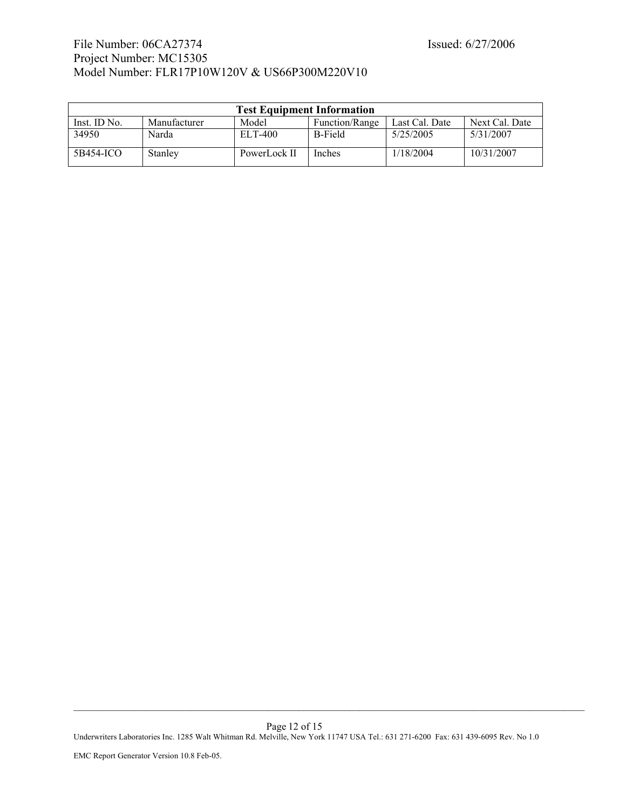#### File Number: 06CA27374 Issued: 6/27/2006 Project Number: MC15305 Model Number: FLR17P10W120V & US66P300M220V10

| <b>Test Equipment Information</b> |              |              |                |                |                |  |  |
|-----------------------------------|--------------|--------------|----------------|----------------|----------------|--|--|
| Inst. ID No.                      | Manufacturer | Model        | Function/Range | Last Cal. Date | Next Cal. Date |  |  |
| 34950                             | Narda        | ELT-400      | <b>B-Field</b> | 5/25/2005      | 5/31/2007      |  |  |
| 5B454-ICO                         | Stanley      | PowerLock II | <b>Inches</b>  | 1/18/2004      | 10/31/2007     |  |  |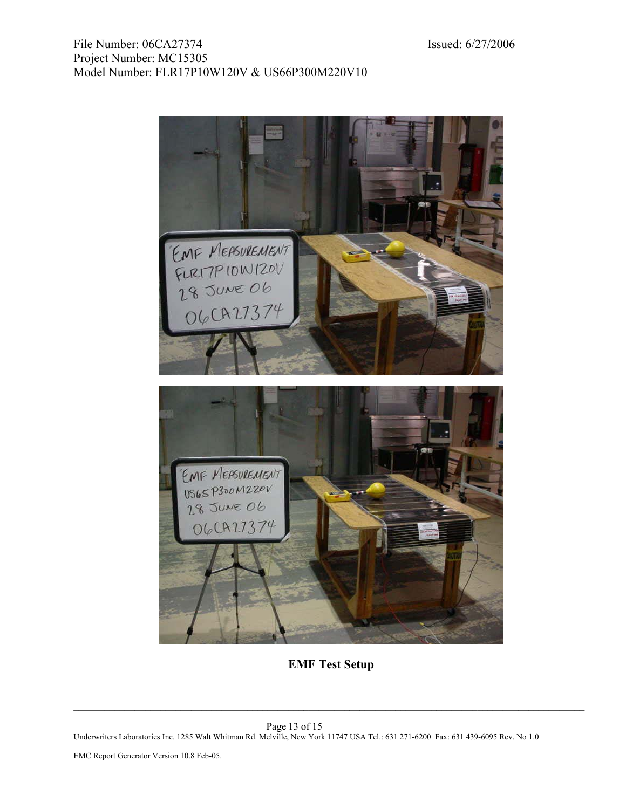

**EMF Test Setup**

 $\_$  , and the set of the set of the set of the set of the set of the set of the set of the set of the set of the set of the set of the set of the set of the set of the set of the set of the set of the set of the set of th

Page 13 of 15 Underwriters Laboratories Inc. 1285 Walt Whitman Rd. Melville, New York 11747 USA Tel.: 631 271-6200 Fax: 631 439-6095 Rev. No 1.0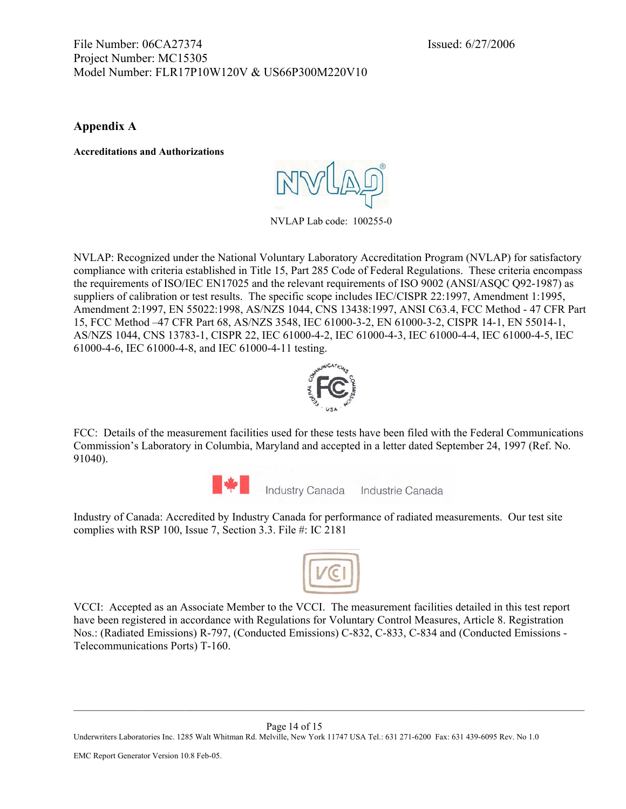#### <span id="page-13-0"></span>File Number: 06CA27374 Issued: 6/27/2006 Project Number: MC15305 Model Number: FLR17P10W120V & US66P300M220V10

**Appendix A** 

**Accreditations and Authorizations** 

NVLAP Lab code: 100255-0

NVLAP: Recognized under the National Voluntary Laboratory Accreditation Program (NVLAP) for satisfactory compliance with criteria established in Title 15, Part 285 Code of Federal Regulations. These criteria encompass the requirements of ISO/IEC EN17025 and the relevant requirements of ISO 9002 (ANSI/ASQC Q92-1987) as suppliers of calibration or test results. The specific scope includes IEC/CISPR 22:1997, Amendment 1:1995, Amendment 2:1997, EN 55022:1998, AS/NZS 1044, CNS 13438:1997, ANSI C63.4, FCC Method - 47 CFR Part 15, FCC Method –47 CFR Part 68, AS/NZS 3548, IEC 61000-3-2, EN 61000-3-2, CISPR 14-1, EN 55014-1, AS/NZS 1044, CNS 13783-1, CISPR 22, IEC 61000-4-2, IEC 61000-4-3, IEC 61000-4-4, IEC 61000-4-5, IEC 61000-4-6, IEC 61000-4-8, and IEC 61000-4-11 testing.



FCC: Details of the measurement facilities used for these tests have been filed with the Federal Communications Commission's Laboratory in Columbia, Maryland and accepted in a letter dated September 24, 1997 (Ref. No. 91040).



Industry Canada Industrie Canada

Industry of Canada: Accredited by Industry Canada for performance of radiated measurements. Our test site complies with RSP 100, Issue 7, Section 3.3. File #: IC 2181



VCCI: Accepted as an Associate Member to the VCCI. The measurement facilities detailed in this test report have been registered in accordance with Regulations for Voluntary Control Measures, Article 8. Registration Nos.: (Radiated Emissions) R-797, (Conducted Emissions) C-832, C-833, C-834 and (Conducted Emissions - Telecommunications Ports) T-160.

 $\_$  , and the set of the set of the set of the set of the set of the set of the set of the set of the set of the set of the set of the set of the set of the set of the set of the set of the set of the set of the set of th

Page 14 of 15 Underwriters Laboratories Inc. 1285 Walt Whitman Rd. Melville, New York 11747 USA Tel.: 631 271-6200 Fax: 631 439-6095 Rev. No 1.0